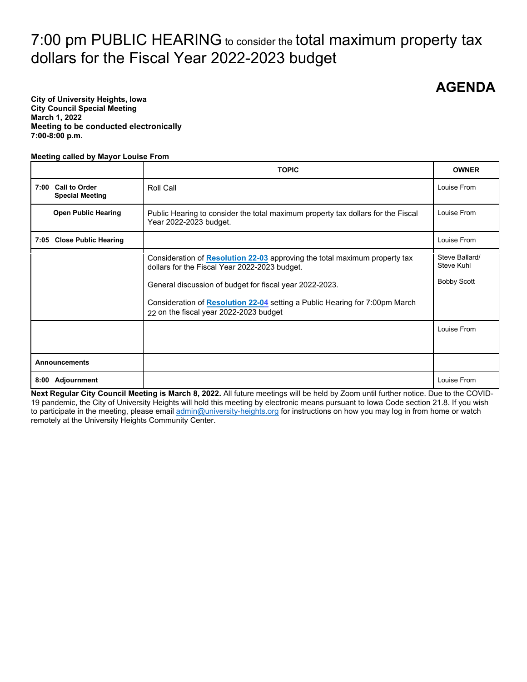# 7:00 pm PUBLIC HEARING to consider the total maximum property tax dollars for the Fiscal Year 2022-2023 budget

**AGENDA**

**City of University Heights, Iowa City Council Special Meeting March 1, 2022 Meeting to be conducted electronically 7:00-8:00 p.m.** 

#### **Meeting called by Mayor Louise From**

|                           |                                                             | <b>TOPIC</b>                                                                                                                | <b>OWNER</b>                 |
|---------------------------|-------------------------------------------------------------|-----------------------------------------------------------------------------------------------------------------------------|------------------------------|
| 7:00                      | <b>Call to Order</b><br>Roll Call<br><b>Special Meeting</b> |                                                                                                                             | Louise From                  |
|                           | <b>Open Public Hearing</b>                                  | Public Hearing to consider the total maximum property tax dollars for the Fiscal<br>Year 2022-2023 budget.                  | Louise From                  |
| 7:05 Close Public Hearing |                                                             |                                                                                                                             | Louise From                  |
|                           |                                                             | Consideration of Resolution 22-03 approving the total maximum property tax<br>dollars for the Fiscal Year 2022-2023 budget. | Steve Ballard/<br>Steve Kuhl |
|                           |                                                             | General discussion of budget for fiscal year 2022-2023.                                                                     | <b>Bobby Scott</b>           |
|                           |                                                             | Consideration of Resolution 22-04 setting a Public Hearing for 7:00pm March<br>22 on the fiscal year 2022-2023 budget       |                              |
|                           |                                                             |                                                                                                                             | Louise From                  |
| <b>Announcements</b>      |                                                             |                                                                                                                             |                              |
|                           | 8:00 Adjournment                                            |                                                                                                                             | Louise From                  |

**Next Regular City Council Meeting is March 8, 2022.** All future meetings will be held by Zoom until further notice. Due to the COVID-19 pandemic, the City of University Heights will hold this meeting by electronic means pursuant to Iowa Code section 21.8. If you wish to participate in the meeting, please emai[l admin@university-heights.org](mailto:admin@university-heights.org) for instructions on how you may log in from home or watch remotely at the University Heights Community Center.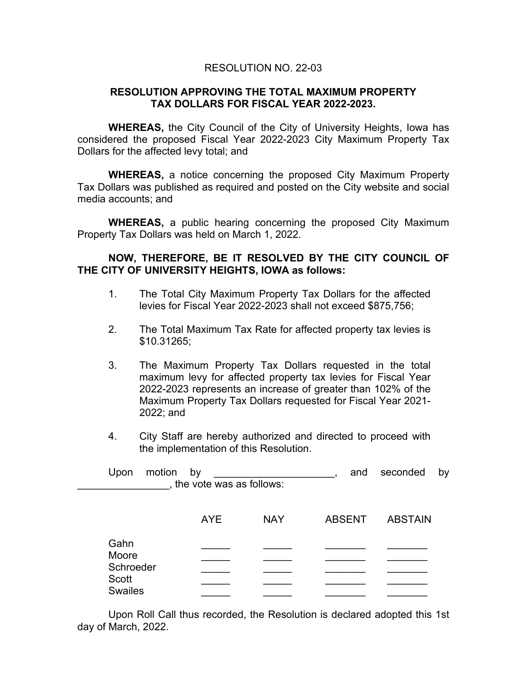### RESOLUTION NO. 22-03

### <span id="page-1-0"></span>**RESOLUTION APPROVING THE TOTAL MAXIMUM PROPERTY TAX DOLLARS FOR FISCAL YEAR 2022-2023.**

**WHEREAS,** the City Council of the City of University Heights, Iowa has considered the proposed Fiscal Year 2022-2023 City Maximum Property Tax Dollars for the affected levy total; and

**WHEREAS,** a notice concerning the proposed City Maximum Property Tax Dollars was published as required and posted on the City website and social media accounts; and

**WHEREAS,** a public hearing concerning the proposed City Maximum Property Tax Dollars was held on March 1, 2022.

# **NOW, THEREFORE, BE IT RESOLVED BY THE CITY COUNCIL OF THE CITY OF UNIVERSITY HEIGHTS, IOWA as follows:**

- 1. The Total City Maximum Property Tax Dollars for the affected levies for Fiscal Year 2022-2023 shall not exceed \$875,756;
- 2. The Total Maximum Tax Rate for affected property tax levies is \$10.31265;
- 3. The Maximum Property Tax Dollars requested in the total maximum levy for affected property tax levies for Fiscal Year 2022-2023 represents an increase of greater than 102% of the Maximum Property Tax Dollars requested for Fiscal Year 2021- 2022; and
- 4. City Staff are hereby authorized and directed to proceed with the implementation of this Resolution.

| motion<br>Upon     | by<br>, the vote was as follows: |            |               | and seconded<br>by |
|--------------------|----------------------------------|------------|---------------|--------------------|
|                    | <b>AYE</b>                       | <b>NAY</b> | <b>ABSENT</b> | <b>ABSTAIN</b>     |
| Gahn<br>Moore      |                                  |            |               |                    |
| Schroeder<br>Scott |                                  |            |               |                    |
| <b>Swailes</b>     |                                  |            |               |                    |

Upon Roll Call thus recorded, the Resolution is declared adopted this 1st day of March, 2022.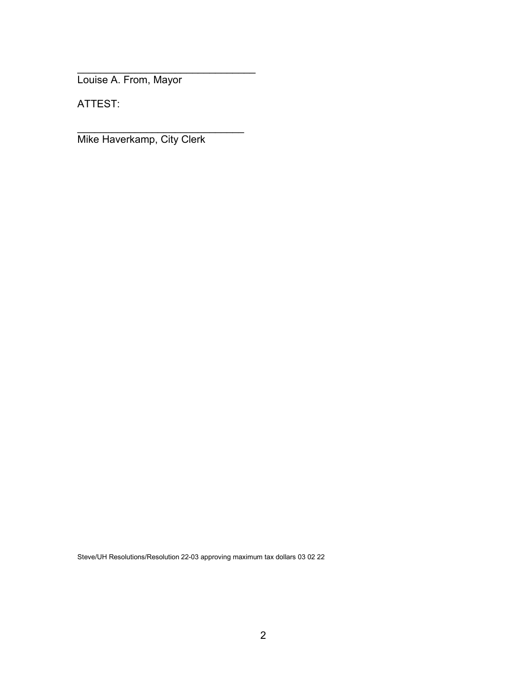\_\_\_\_\_\_\_\_\_\_\_\_\_\_\_\_\_\_\_\_\_\_\_\_\_\_\_\_\_\_\_ Louise A. From, Mayor

ATTEST:

Mike Haverkamp, City Clerk

\_\_\_\_\_\_\_\_\_\_\_\_\_\_\_\_\_\_\_\_\_\_\_\_\_\_\_\_\_

Steve/UH Resolutions/Resolution 22-03 approving maximum tax dollars 03 02 22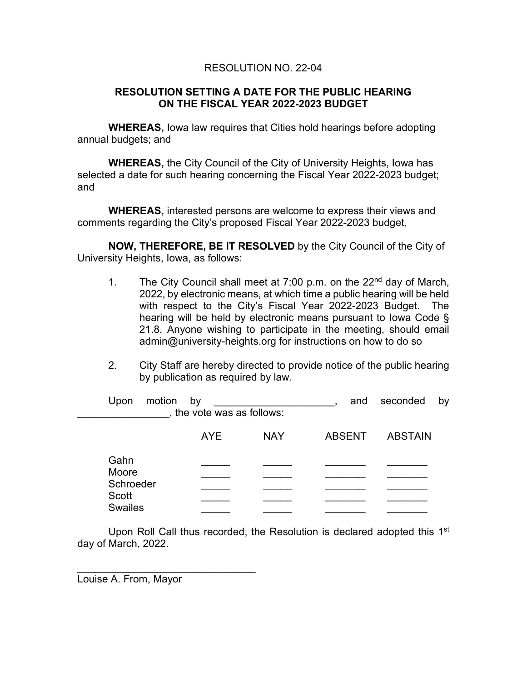# RESOLUTION NO. 22-04

## <span id="page-3-0"></span>**RESOLUTION SETTING A DATE FOR THE PUBLIC HEARING ON THE FISCAL YEAR 2022-2023 BUDGET**

**WHEREAS,** Iowa law requires that Cities hold hearings before adopting annual budgets; and

**WHEREAS,** the City Council of the City of University Heights, Iowa has selected a date for such hearing concerning the Fiscal Year 2022-2023 budget; and

**WHEREAS,** interested persons are welcome to express their views and comments regarding the City's proposed Fiscal Year 2022-2023 budget,

**NOW, THEREFORE, BE IT RESOLVED** by the City Council of the City of University Heights, Iowa, as follows:

- 1. The City Council shall meet at 7:00 p.m. on the 22<sup>nd</sup> day of March, 2022, by electronic means, at which time a public hearing will be held with respect to the City's Fiscal Year 2022-2023 Budget. The hearing will be held by electronic means pursuant to Iowa Code § 21.8. Anyone wishing to participate in the meeting, should email admin@university-heights.org for instructions on how to do so
- 2. City Staff are hereby directed to provide notice of the public hearing by publication as required by law.

|  | motion<br>Upon                       | by<br>, the vote was as follows: |            | and           | seconded<br>by |
|--|--------------------------------------|----------------------------------|------------|---------------|----------------|
|  |                                      | AYE                              | <b>NAY</b> | <b>ABSENT</b> | <b>ABSTAIN</b> |
|  | Gahn<br>Moore                        |                                  |            |               |                |
|  | Schroeder<br>Scott<br><b>Swailes</b> |                                  |            |               |                |
|  |                                      |                                  |            |               |                |
|  |                                      |                                  |            |               |                |

Upon Roll Call thus recorded, the Resolution is declared adopted this 1<sup>st</sup> day of March, 2022.

\_\_\_\_\_\_\_\_\_\_\_\_\_\_\_\_\_\_\_\_\_\_\_\_\_\_\_\_\_\_\_ Louise A. From, Mayor